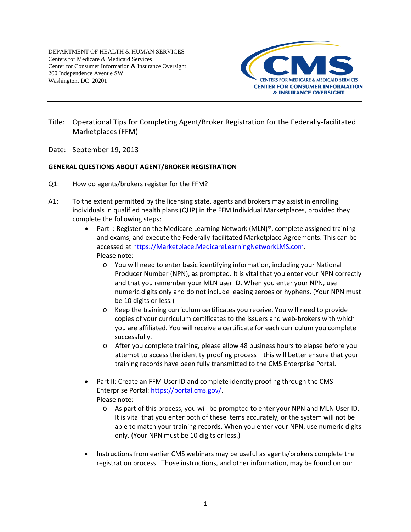DEPARTMENT OF HEALTH & HUMAN SERVICES Centers for Medicare & Medicaid Services Center for Consumer Information & Insurance Oversight 200 Independence Avenue SW Washington, DC 20201



- Title: Operational Tips for Completing Agent/Broker Registration for the Federally-facilitated Marketplaces (FFM)
- Date: September 19, 2013

## **GENERAL QUESTIONS ABOUT AGENT/BROKER REGISTRATION**

- Q1: How do agents/brokers register for the FFM?
- A1: To the extent permitted by the licensing state, agents and brokers may assist in enrolling individuals in qualified health plans (QHP) in the FFM Individual Marketplaces, provided they complete the following steps:
	- Part I: Register on the Medicare Learning Network (MLN)<sup>®</sup>, complete assigned training and exams, and execute the Federally-facilitated Marketplace Agreements. This can be accessed at [https://Marketplace.MedicareLearningNetworkLMS.com.](https://marketplace.medicarelearningnetworklms.com/) Please note:
		- o You will need to enter basic identifying information, including your National Producer Number (NPN), as prompted. It is vital that you enter your NPN correctly and that you remember your MLN user ID. When you enter your NPN, use numeric digits only and do not include leading zeroes or hyphens. (Your NPN must be 10 digits or less.)
		- o Keep the training curriculum certificates you receive. You will need to provide copies of your curriculum certificates to the issuers and web-brokers with which you are affiliated. You will receive a certificate for each curriculum you complete successfully.
		- o After you complete training, please allow 48 business hours to elapse before you attempt to access the identity proofing process—this will better ensure that your training records have been fully transmitted to the CMS Enterprise Portal.
	- Part II: Create an FFM User ID and complete identity proofing through the CMS Enterprise Portal: [https://portal.cms.gov/.](https://portal.cms.gov/) Please note:
		- o As part of this process, you will be prompted to enter your NPN and MLN User ID. It is vital that you enter both of these items accurately, or the system will not be able to match your training records. When you enter your NPN, use numeric digits only. (Your NPN must be 10 digits or less.)
	- Instructions from earlier CMS webinars may be useful as agents/brokers complete the registration process. Those instructions, and other information, may be found on our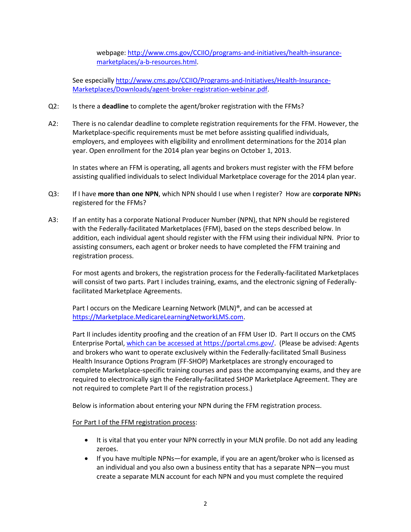webpage: [http://www.cms.gov/CCIIO/programs-and-initiatives/health-insurance](http://www.cms.gov/CCIIO/programs-and-initiatives/health-insurance-marketplaces/a-b-resources.html)[marketplaces/a-b-resources.html.](http://www.cms.gov/CCIIO/programs-and-initiatives/health-insurance-marketplaces/a-b-resources.html)

See especiall[y http://www.cms.gov/CCIIO/Programs-and-Initiatives/Health-Insurance-](http://www.cms.gov/CCIIO/Programs-and-Initiatives/Health-Insurance-Marketplaces/Downloads/agent-broker-registration-webinar.pdf)[Marketplaces/Downloads/agent-broker-registration-webinar.pdf.](http://www.cms.gov/CCIIO/Programs-and-Initiatives/Health-Insurance-Marketplaces/Downloads/agent-broker-registration-webinar.pdf)

- Q2: Is there a **deadline** to complete the agent/broker registration with the FFMs?
- A2: There is no calendar deadline to complete registration requirements for the FFM. However, the Marketplace-specific requirements must be met before assisting qualified individuals, employers, and employees with eligibility and enrollment determinations for the 2014 plan year. Open enrollment for the 2014 plan year begins on October 1, 2013.

In states where an FFM is operating, all agents and brokers must register with the FFM before assisting qualified individuals to select Individual Marketplace coverage for the 2014 plan year.

- Q3: If I have **more than one NPN**, which NPN should I use when I register? How are **corporate NPN**s registered for the FFMs?
- A3: If an entity has a corporate National Producer Number (NPN), that NPN should be registered with the Federally-facilitated Marketplaces (FFM), based on the steps described below. In addition, each individual agent should register with the FFM using their individual NPN. Prior to assisting consumers, each agent or broker needs to have completed the FFM training and registration process.

For most agents and brokers, the registration process for the Federally-facilitated Marketplaces will consist of two parts. Part I includes training, exams, and the electronic signing of Federallyfacilitated Marketplace Agreements.

Part I occurs on the Medicare Learning Network (MLN)®, and can be accessed at [https://Marketplace.MedicareLearningNetworkLMS.com.](https://marketplace.medicarelearningnetworklms.com/)

Part II includes identity proofing and the creation of an FFM User ID. Part II occurs on the CMS Enterprise Portal, which can be accessed a[t https://portal.cms.gov/.](https://portal.cms.gov/) (Please be advised: Agents and brokers who want to operate exclusively within the Federally-facilitated Small Business Health Insurance Options Program (FF-SHOP) Marketplaces are strongly encouraged to complete Marketplace-specific training courses and pass the accompanying exams, and they are required to electronically sign the Federally-facilitated SHOP Marketplace Agreement. They are not required to complete Part II of the registration process.)

Below is information about entering your NPN during the FFM registration process.

## For Part I of the FFM registration process:

- It is vital that you enter your NPN correctly in your MLN profile. Do not add any leading zeroes.
- If you have multiple NPNs—for example, if you are an agent/broker who is licensed as an individual and you also own a business entity that has a separate NPN—you must create a separate MLN account for each NPN and you must complete the required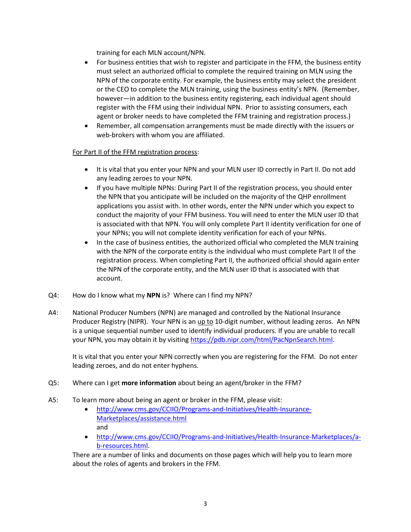training for each MLN account/NPN.

- For business entities that wish to register and participate in the FFM, the business entity must select an authorized official to complete the required training on MLN using the NPN of the corporate entity. For example, the business entity may select the president or the CEO to complete the MLN training, using the business entity's NPN. (Remember, however—in addition to the business entity registering, each individual agent should register with the FFM using their individual NPN. Prior to assisting consumers, each agent or broker needs to have completed the FFM training and registration process.)
- Remember, all compensation arrangements must be made directly with the issuers or web-brokers with whom you are affiliated.

# For Part II of the FFM registration process:

- It is vital that you enter your NPN and your MLN user ID correctly in Part II. Do not add any leading zeroes to your NPN.
- If you have multiple NPNs: During Part II of the registration process, you should enter the NPN that you anticipate will be included on the majority of the QHP enrollment applications you assist with. In other words, enter the NPN under which you expect to conduct the majority of your FFM business. You will need to enter the MLN user ID that is associated with that NPN. You will only complete Part II identity verification for one of your NPNs; you will not complete identity verification for each of your NPNs.
- In the case of business entities, the authorized official who completed the MLN training with the NPN of the corporate entity is the individual who must complete Part II of the registration process. When completing Part II, the authorized official should again enter the NPN of the corporate entity, and the MLN user ID that is associated with that account.
- Q4: How do I know what my **NPN** is? Where can I find my NPN?
- A4: National Producer Numbers (NPN) are managed and controlled by the National Insurance Producer Registry (NIPR). Your NPN is an up to 10-digit number, without leading zeros. An NPN is a unique sequential number used to identify individual producers. If you are unable to recall your NPN, you may obtain it by visiting [https://pdb.nipr.com/html/PacNpnSearch.html.](https://pdb.nipr.com/html/PacNpnSearch.html)

It is vital that you enter your NPN correctly when you are registering for the FFM. Do not enter leading zeroes, and do not enter hyphens.

- Q5: Where can I get **more information** about being an agent/broker in the FFM?
- A5: To learn more about being an agent or broker in the FFM, please visit:
	- [http://www.cms.gov/CCIIO/Programs-and-Initiatives/Health-Insurance-](http://www.cms.gov/CCIIO/Programs-and-Initiatives/Health-Insurance-Marketplaces/assistance.html)[Marketplaces/assistance.html](http://www.cms.gov/CCIIO/Programs-and-Initiatives/Health-Insurance-Marketplaces/assistance.html)  and
	- [http://www.cms.gov/CCIIO/Programs-and-Initiatives/Health-Insurance-Marketplaces/a](http://www.cms.gov/CCIIO/Programs-and-Initiatives/Health-Insurance-Marketplaces/a-b-resources.html)[b-resources.html.](http://www.cms.gov/CCIIO/Programs-and-Initiatives/Health-Insurance-Marketplaces/a-b-resources.html)

There are a number of links and documents on those pages which will help you to learn more about the roles of agents and brokers in the FFM.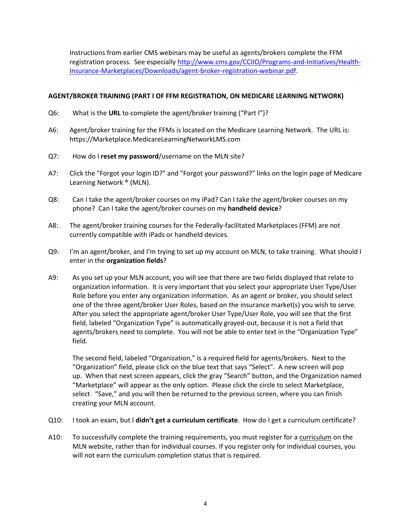Instructions from earlier CMS webinars may be useful as agents/brokers complete the FFM registration process. See especiall[y http://www.cms.gov/CCIIO/Programs-and-Initiatives/Health-](http://www.cms.gov/CCIIO/Programs-and-Initiatives/Health-Insurance-Marketplaces/Downloads/agent-broker-registration-webinar.pdf)[Insurance-Marketplaces/Downloads/agent-broker-registration-webinar.pdf.](http://www.cms.gov/CCIIO/Programs-and-Initiatives/Health-Insurance-Marketplaces/Downloads/agent-broker-registration-webinar.pdf)

## **AGENT/BROKER TRAINING (PART I OF FFM REGISTRATION, ON MEDICARE LEARNING NETWORK)**

- Q6: What is the **URL** to complete the agent/broker training ("Part I")?
- A6: Agent/broker training for the FFMs is located on the Medicare Learning Network. The URL is: [https://Marketplace.MedicareLearningNetworkLMS.com](https://marketplace.medicarelearningnetworklms.com/)
- Q7: How do I **reset my password**/username on the MLN site?
- A7: Click the "Forgot your login ID?" and "Forgot your password?" links on the login page of Medicare Learning Network ® (MLN).
- Q8: Can I take the agent/broker courses on my iPad? Can I take the agent/broker courses on my phone? Can I take the agent/broker courses on my **handheld device**?
- A8: The agent/broker training courses for the Federally-facilitated Marketplaces (FFM) are not currently compatible with iPads or handheld devices.
- Q9: I'm an agent/broker, and I'm trying to set up my account on MLN, to take training. What should I enter in the **organization fields**?
- A9: As you set up your MLN account, you will see that there are two fields displayed that relate to organization information. It is very important that you select your appropriate User Type/User Role before you enter any organization information. As an agent or broker, you should select one of the three agent/broker User Roles, based on the insurance market(s) you wish to serve. After you select the appropriate agent/broker User Type/User Role, you will see that the first field, labeled "Organization Type" is automatically grayed-out, because it is not a field that agents/brokers need to complete. You will not be able to enter text in the "Organization Type" field.

The second field, labeled "Organization," is a required field for agents/brokers. Next to the "Organization" field, please click on the blue text that says "Select". A new screen will pop up. When that next screen appears, click the gray "Search" button, and the Organization named "Marketplace" will appear as the only option. Please click the circle to select Marketplace, select "Save," and you will then be returned to the previous screen, where you can finish creating your MLN account.

- Q10: I took an exam, but I **didn't get a curriculum certificate**. How do I get a curriculum certificate?
- A10: To successfully complete the training requirements, you must register for a curriculum on the MLN website, rather than for individual courses. If you register only for individual courses, you will not earn the curriculum completion status that is required.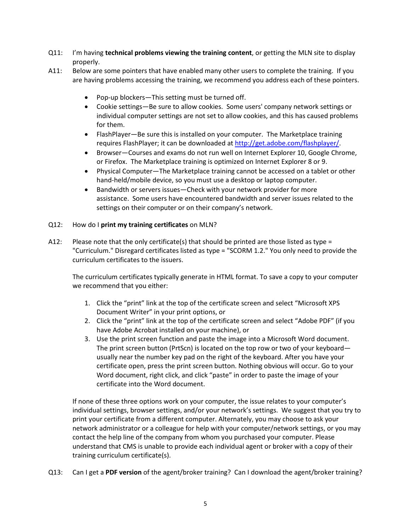- Q11: I'm having **technical problems viewing the training content**, or getting the MLN site to display properly.
- A11: Below are some pointers that have enabled many other users to complete the training. If you are having problems accessing the training, we recommend you address each of these pointers.
	- Pop-up blockers—This setting must be turned off.
	- Cookie settings—Be sure to allow cookies. Some users' company network settings or individual computer settings are not set to allow cookies, and this has caused problems for them.
	- FlashPlayer—Be sure this is installed on your computer. The Marketplace training requires FlashPlayer; it can be downloaded at [http://get.adobe.com/flashplayer/.](http://get.adobe.com/flashplayer/)
	- Browser—Courses and exams do not run well on Internet Explorer 10, Google Chrome, or Firefox. The Marketplace training is optimized on Internet Explorer 8 or 9.
	- Physical Computer—The Marketplace training cannot be accessed on a tablet or other hand-held/mobile device, so you must use a desktop or laptop computer.
	- Bandwidth or servers issues—Check with your network provider for more assistance. Some users have encountered bandwidth and server issues related to the settings on their computer or on their company's network.

## Q12: How do I **print my training certificates** on MLN?

A12: Please note that the only certificate(s) that should be printed are those listed as type = "Curriculum." Disregard certificates listed as type = "SCORM 1.2." You only need to provide the curriculum certificates to the issuers.

The curriculum certificates typically generate in HTML format. To save a copy to your computer we recommend that you either:

- 1. Click the "print" link at the top of the certificate screen and select "Microsoft XPS Document Writer" in your print options, or
- 2. Click the "print" link at the top of the certificate screen and select "Adobe PDF" (if you have Adobe Acrobat installed on your machine), or
- 3. Use the print screen function and paste the image into a Microsoft Word document. The print screen button (PrtScn) is located on the top row or two of your keyboard usually near the number key pad on the right of the keyboard. After you have your certificate open, press the print screen button. Nothing obvious will occur. Go to your Word document, right click, and click "paste" in order to paste the image of your certificate into the Word document.

If none of these three options work on your computer, the issue relates to your computer's individual settings, browser settings, and/or your network's settings. We suggest that you try to print your certificate from a different computer. Alternately, you may choose to ask your network administrator or a colleague for help with your computer/network settings, or you may contact the help line of the company from whom you purchased your computer. Please understand that CMS is unable to provide each individual agent or broker with a copy of their training curriculum certificate(s).

Q13: Can I get a **PDF version** of the agent/broker training? Can I download the agent/broker training?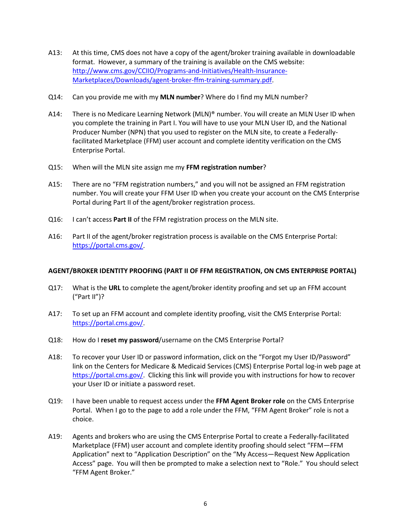- A13: At this time, CMS does not have a copy of the agent/broker training available in downloadable format. However, a summary of the training is available on the CMS website: [http://www.cms.gov/CCIIO/Programs-and-Initiatives/Health-Insurance-](http://www.cms.gov/CCIIO/Programs-and-Initiatives/Health-Insurance-Marketplaces/Downloads/agent-broker-ffm-training-summary.pdf)[Marketplaces/Downloads/agent-broker-ffm-training-summary.pdf.](http://www.cms.gov/CCIIO/Programs-and-Initiatives/Health-Insurance-Marketplaces/Downloads/agent-broker-ffm-training-summary.pdf)
- Q14: Can you provide me with my **MLN number**? Where do I find my MLN number?
- A14: There is no Medicare Learning Network (MLN)® number. You will create an MLN User ID when you complete the training in Part I. You will have to use your MLN User ID, and the National Producer Number (NPN) that you used to register on the MLN site, to create a Federallyfacilitated Marketplace (FFM) user account and complete identity verification on the CMS Enterprise Portal.
- Q15: When will the MLN site assign me my **FFM registration number**?
- A15: There are no "FFM registration numbers," and you will not be assigned an FFM registration number. You will create your FFM User ID when you create your account on the CMS Enterprise Portal during Part II of the agent/broker registration process.
- Q16: I can't access **Part II** of the FFM registration process on the MLN site.
- A16: Part II of the agent/broker registration process is available on the CMS Enterprise Portal: [https://portal.cms.gov/.](https://portal.cms.gov/)

## **AGENT/BROKER IDENTITY PROOFING (PART II OF FFM REGISTRATION, ON CMS ENTERPRISE PORTAL)**

- Q17: What is the **URL** to complete the agent/broker identity proofing and set up an FFM account ("Part II")?
- A17: To set up an FFM account and complete identity proofing, visit the CMS Enterprise Portal: [https://portal.cms.gov/.](https://portal.cms.gov/)
- Q18: How do I **reset my password**/username on the CMS Enterprise Portal?
- A18: To recover your User ID or password information, click on the "Forgot my User ID/Password" link on the Centers for Medicare & Medicaid Services (CMS) Enterprise Portal log-in web page at [https://portal.cms.gov/.](https://portal.cms.gov/) Clicking this link will provide you with instructions for how to recover your User ID or initiate a password reset.
- Q19: I have been unable to request access under the **FFM Agent Broker role** on the CMS Enterprise Portal. When I go to the page to add a role under the FFM, "FFM Agent Broker" role is not a choice.
- A19: Agents and brokers who are using the CMS Enterprise Portal to create a Federally-facilitated Marketplace (FFM) user account and complete identity proofing should select "FFM—FFM Application" next to "Application Description" on the "My Access—Request New Application Access" page. You will then be prompted to make a selection next to "Role." You should select "FFM Agent Broker."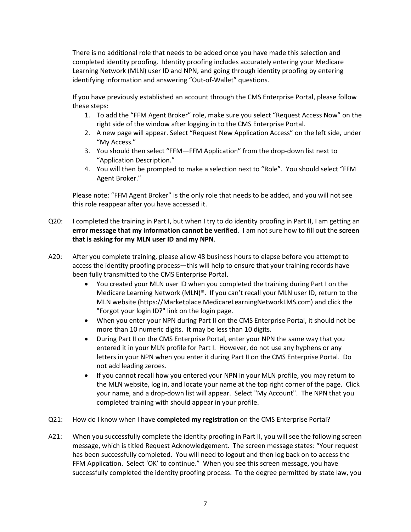There is no additional role that needs to be added once you have made this selection and completed identity proofing. Identity proofing includes accurately entering your Medicare Learning Network (MLN) user ID and NPN, and going through identity proofing by entering identifying information and answering "Out-of-Wallet" questions.

If you have previously established an account through the CMS Enterprise Portal, please follow these steps:

- 1. To add the "FFM Agent Broker" role, make sure you select "Request Access Now" on the right side of the window after logging in to the CMS Enterprise Portal.
- 2. A new page will appear. Select "Request New Application Access" on the left side, under "My Access."
- 3. You should then select "FFM—FFM Application" from the drop-down list next to "Application Description."
- 4. You will then be prompted to make a selection next to "Role". You should select "FFM Agent Broker."

Please note: "FFM Agent Broker" is the only role that needs to be added, and you will not see this role reappear after you have accessed it.

- Q20: I completed the training in Part I, but when I try to do identity proofing in Part II, I am getting an **error message that my information cannot be verified**. I am not sure how to fill out the **screen that is asking for my MLN user ID and my NPN**.
- A20: After you complete training, please allow 48 business hours to elapse before you attempt to access the identity proofing process—this will help to ensure that your training records have been fully transmitted to the CMS Enterprise Portal.
	- You created your MLN user ID when you completed the training during Part I on the Medicare Learning Network (MLN)®. If you can't recall your MLN user ID, return to the MLN website (https://Marketplace.MedicareLearningNetworkLMS.com) and click the "Forgot your login ID?" link on the login page.
	- When you enter your NPN during Part II on the CMS Enterprise Portal, it should not be more than 10 numeric digits. It may be less than 10 digits.
	- During Part II on the CMS Enterprise Portal, enter your NPN the same way that you entered it in your MLN profile for Part I. However, do not use any hyphens or any letters in your NPN when you enter it during Part II on the CMS Enterprise Portal. Do not add leading zeroes.
	- If you cannot recall how you entered your NPN in your MLN profile, you may return to the MLN website, log in, and locate your name at the top right corner of the page. Click your name, and a drop-down list will appear. Select "My Account". The NPN that you completed training with should appear in your profile.
- Q21: How do I know when I have **completed my registration** on the CMS Enterprise Portal?
- A21: When you successfully complete the identity proofing in Part II, you will see the following screen message, which is titled Request Acknowledgement. The screen message states: "Your request has been successfully completed. You will need to logout and then log back on to access the FFM Application. Select 'OK' to continue." When you see this screen message, you have successfully completed the identity proofing process. To the degree permitted by state law, you